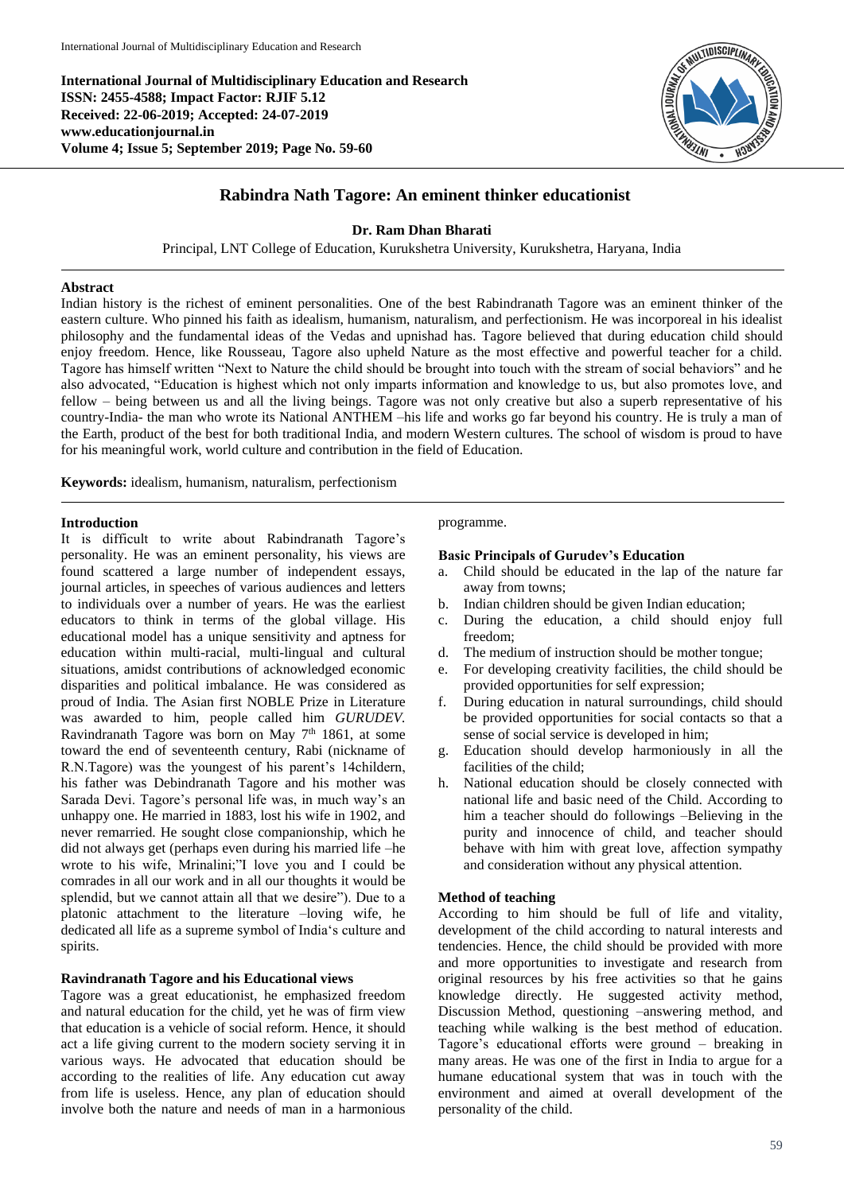**International Journal of Multidisciplinary Education and Research ISSN: 2455-4588; Impact Factor: RJIF 5.12 Received: 22-06-2019; Accepted: 24-07-2019 www.educationjournal.in Volume 4; Issue 5; September 2019; Page No. 59-60**



# **Rabindra Nath Tagore: An eminent thinker educationist**

# **Dr. Ram Dhan Bharati**

Principal, LNT College of Education, Kurukshetra University, Kurukshetra, Haryana, India

#### **Abstract**

Indian history is the richest of eminent personalities. One of the best Rabindranath Tagore was an eminent thinker of the eastern culture. Who pinned his faith as idealism, humanism, naturalism, and perfectionism. He was incorporeal in his idealist philosophy and the fundamental ideas of the Vedas and upnishad has. Tagore believed that during education child should enjoy freedom. Hence, like Rousseau, Tagore also upheld Nature as the most effective and powerful teacher for a child. Tagore has himself written "Next to Nature the child should be brought into touch with the stream of social behaviors" and he also advocated, "Education is highest which not only imparts information and knowledge to us, but also promotes love, and fellow – being between us and all the living beings. Tagore was not only creative but also a superb representative of his country-India- the man who wrote its National ANTHEM –his life and works go far beyond his country. He is truly a man of the Earth, product of the best for both traditional India, and modern Western cultures. The school of wisdom is proud to have for his meaningful work, world culture and contribution in the field of Education.

**Keywords:** idealism, humanism, naturalism, perfectionism

#### **Introduction**

It is difficult to write about Rabindranath Tagore's personality. He was an eminent personality, his views are found scattered a large number of independent essays, journal articles, in speeches of various audiences and letters to individuals over a number of years. He was the earliest educators to think in terms of the global village. His educational model has a unique sensitivity and aptness for education within multi-racial, multi-lingual and cultural situations, amidst contributions of acknowledged economic disparities and political imbalance. He was considered as proud of India. The Asian first NOBLE Prize in Literature was awarded to him, people called him *GURUDEV.* Ravindranath Tagore was born on May  $7<sup>th</sup>$  1861, at some toward the end of seventeenth century, Rabi (nickname of R.N.Tagore) was the youngest of his parent's 14childern, his father was Debindranath Tagore and his mother was Sarada Devi. Tagore's personal life was, in much way's an unhappy one. He married in 1883, lost his wife in 1902, and never remarried. He sought close companionship, which he did not always get (perhaps even during his married life –he wrote to his wife, Mrinalini;"I love you and I could be comrades in all our work and in all our thoughts it would be splendid, but we cannot attain all that we desire"). Due to a platonic attachment to the literature –loving wife, he dedicated all life as a supreme symbol of India's culture and spirits.

# **Ravindranath Tagore and his Educational views**

Tagore was a great educationist, he emphasized freedom and natural education for the child, yet he was of firm view that education is a vehicle of social reform. Hence, it should act a life giving current to the modern society serving it in various ways. He advocated that education should be according to the realities of life. Any education cut away from life is useless. Hence, any plan of education should involve both the nature and needs of man in a harmonious

# programme.

#### **Basic Principals of Gurudev's Education**

- a. Child should be educated in the lap of the nature far away from towns;
- b. Indian children should be given Indian education;
- c. During the education, a child should enjoy full freedom;
- d. The medium of instruction should be mother tongue;
- e. For developing creativity facilities, the child should be provided opportunities for self expression;
- f. During education in natural surroundings, child should be provided opportunities for social contacts so that a sense of social service is developed in him;
- g. Education should develop harmoniously in all the facilities of the child;
- h. National education should be closely connected with national life and basic need of the Child. According to him a teacher should do followings –Believing in the purity and innocence of child, and teacher should behave with him with great love, affection sympathy and consideration without any physical attention.

# **Method of teaching**

According to him should be full of life and vitality, development of the child according to natural interests and tendencies. Hence, the child should be provided with more and more opportunities to investigate and research from original resources by his free activities so that he gains knowledge directly. He suggested activity method, Discussion Method, questioning –answering method, and teaching while walking is the best method of education. Tagore's educational efforts were ground – breaking in many areas. He was one of the first in India to argue for a humane educational system that was in touch with the environment and aimed at overall development of the personality of the child.